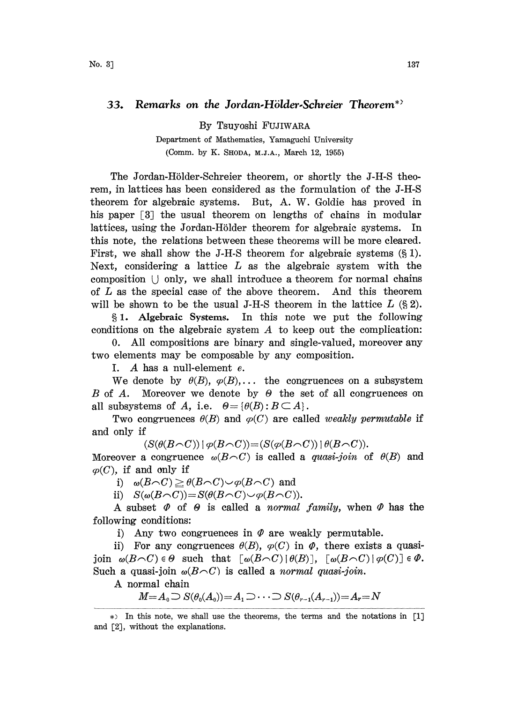## 33. Remarks on the Jordan-Hölder-Schreier Theorem<sup>\*</sup>

By Tsuyoshi FUJIWARA

Department of Mathematics, Yamaguchi University (Comm. by K. SHODA, M.J.A., March 12, 1955)

The Jordan-Hölder-Schreier theorem, or shortly the J-H-S theorem, in lattices has been considered as the formulation of the J-H-S theorem for algebraic systems. But, A. W. Goldie has proved in his paper  $\lceil 3 \rceil$  the usual theorem on lengths of chains in modular lattices, using the Jordan-Hölder theorem for algebraic systems. In this note, the relations between these theorems will be more cleared. First, we shall show the J-H-S theorem for algebraic systems  $(\S 1)$ . Next, considering a lattice  $L$  as the algebraic system with the composition  $\cup$  only, we shall introduce a theorem for normal chains of L as the special case of the above theorem. And this theorem will be shown to be the usual J-H-S theorem in the lattice  $L \left( \S 2 \right)$ .

1. Algebraic Systems. In his note we put the following conditions on the algebraic system  $A$  to keep out the complication:

0. All compositions are binary and single-valued, moreover any two elements may be composable by any composition.

I. A has <sup>a</sup> null-element e.

We denote by  $\theta(B), \varphi(B), \ldots$  the congruences on a subsystem B of A. Moreover we denote by  $\Theta$  the set of all congruences on all subsystems of A, i.e.  $\Theta = {\theta(B) : B \subset A}.$ 

Two congruences  $\theta(B)$  and  $\varphi(C)$  are called *weakly permutable* if and only if

 $(S(\theta(B\cap C)) | \varphi(B\cap C)) = (S(\varphi(B\cap C)) | \theta(B\cap C)).$ 

Moreover a congruence  $\omega(B\cap C)$  is called a *quasi-join* of  $\theta(B)$  and  $\varphi$ (C), if and only if

i)  $\omega(B \cap C) \geq \theta(B \cap C) \cup \varphi(B \cap C)$  and

ii)  $S(\omega(B\cap C))=S(\theta(B\cap C)\cup \varphi(B\cap C)).$ 

A subset  $\Phi$  of  $\Theta$  is called a normal family, when  $\Phi$  has the following conditions:

i) Any two congruences in  $\varPhi$  are weakly permutable.

ii) For any congruences  $\theta(B)$ ,  $\varphi(C)$  in  $\varphi$ , there exists a quasijoin  $\omega(B\cap C) \in \Theta$  such that  $[\omega(B\cap C) \mid \theta(B)], [\omega(B\cap C) \mid \varphi(C)] \in \Phi$ . Such a quasi-join  $\omega(B\cap C)$  is called a normal quasi-join.

A normal chain

 $M=A_0\supset S(\theta_0(A_0))=A_1\supset \cdots \supset S(\theta_{r-1}(A_{r-1}))=A_r=N$ 

<sup>\*&</sup>gt; In this note, we shall use the theorems, the terms and the notations in [1] and [2], without the explanations.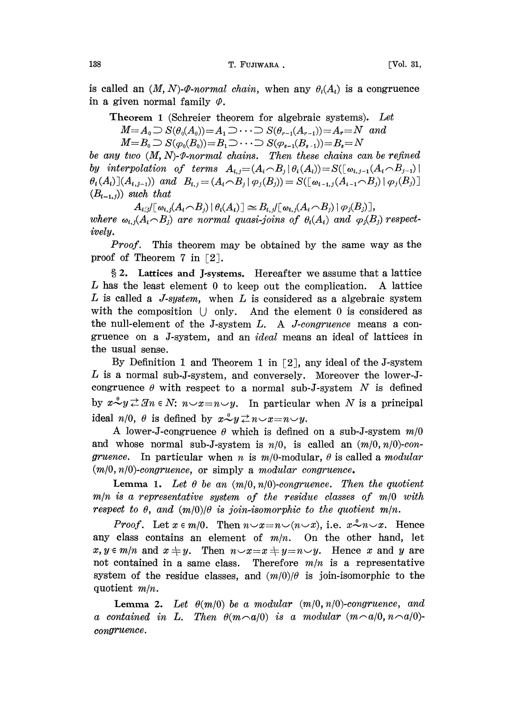138 T. FUJIWARA, T. FUJIWARA.

is called an  $(M, N)$ - $\varphi$ -normal chain, when any  $\theta_i(A_i)$  is a congruence in a given normal family  $\varphi$ .

Theorem <sup>1</sup> (Schreier theorem for algebraic systems). Let  $M=A_0\supset S(\theta_0(A_0))=A_1\supset \cdots \supset S(\theta_{r-1}(A_{r-1}))=A_r=N$  and  $M=B_0\supset S(\varphi_0(B_0))=B_1\supset \cdots \supset S(\varphi_{s-1}(B_{s-1}))=B_s=N$ 

be any two  $(M, N)$ -P-normal chains. Then these chains can be refined by interpolation of terms  $A_{i,j} = (A_i \cap B_j | \theta_i(A_i)) = S([\omega_{i,j-1}(A_i \cap B_{j-1})])$  $\theta_i(A_i)(A_{i,j-1})$  and  $B_{i,j} = (A_i \cap B_j | \varphi_j(B_j)) = S([\omega_{i-1,j}(A_{i-1} \cap B_j) | \varphi_j(B_j))]$  $(B_{i-1,j})$  such that

 $A_{i,j}/\lceil \omega_{i,j}(A_i \cap B_j) \rceil \theta_i(A_i) \rceil \simeq B_{i,j}/\lceil \omega_{i,j}(A_i \cap B_j) \rceil \varphi_j(B_j) \rceil,$ where  $\omega_{i,j}(A_i \cap B_j)$  are normal quasi-joins of  $\theta_i(A_i)$  and  $\varphi_j(B_j)$  respectively.

Proof. This theorem may be obtained by the same way as the proof of Theorem 7 in  $[2]$ .

§ 2. Lattices and J-systems. Hereafter we assume that a lattice L has the least element  $0$  to keep out the complication. A lattice L is called a J-system, when L is considered as a algebraic system with the composition  $\cup$  only. And the element 0 is considered as the null-element of the J-system  $L$ . A *J-congruence* means a congruence on a J-system, and an ideal means an ideal of lattices in the usual sense.

By Definition 1 and Theorem 1 in  $\lceil 2 \rceil$ , any ideal of the J-system L is a normal sub-J-system, and conversely. Moreover the lower-Jcongruence  $\theta$  with respect to a normal sub-J-system N is defined by  $x \stackrel{\circ}{\sim} y \stackrel{\rightarrow}{\sim} \mathcal{I}n \in N$ :  $n \sim x=n \sim y$ . In particular when N is a principal ideal  $n/0$ ,  $\theta$  is defined by  $x \stackrel{\theta}{\sim} y \stackrel{\rightarrow}{\sim} n \sim x = n \sim y$ .

A lower-J-congruence  $\theta$  which is defined on a sub-J-system  $m/0$ and whose normal sub-J-system is  $n/0$ , is called an  $(m/0, n/0)$ -congruence. In particular when n is  $m/0$ -modular,  $\theta$  is called a modular  $(m/0, n/0)$ -congruence, or simply a modular congruence.

**Lemma 1.** Let  $\theta$  be an  $(m/0, n/0)$ -congruence. Then the quotient  $m/n$  is a representative system of the residue classes of  $m/0$  with respect to  $\theta$ , and  $(m/0)/\theta$  is join-isomorphic to the quotient  $m/n$ .

*Proof.* Let  $x \in m/0$ . Then  $n \vee x=n \vee (n \vee x)$ , i.e.  $x \stackrel{\theta}{\sim} n \vee x$ . Hence any class contains an element of  $m/n$ . On the other hand, let  $x, y \in m/n$  and  $x \neq y$ . Then  $n \vee x=x\neq y=n \vee y$ . Hence x and y are not contained in a same class. Therefore  $m/n$  is a representative system of the residue classes, and  $(m/0)/\theta$  is join-isomorphic to the quotient m/n.

**Lemma 2.** Let  $\theta(m/0)$  be a modular  $(m/0, n/0)$ -congruence, and a contained in L. Then  $\theta(m\cap a/0)$  is a modular  $(m\cap a/0,n\cap a/0)$ congruence.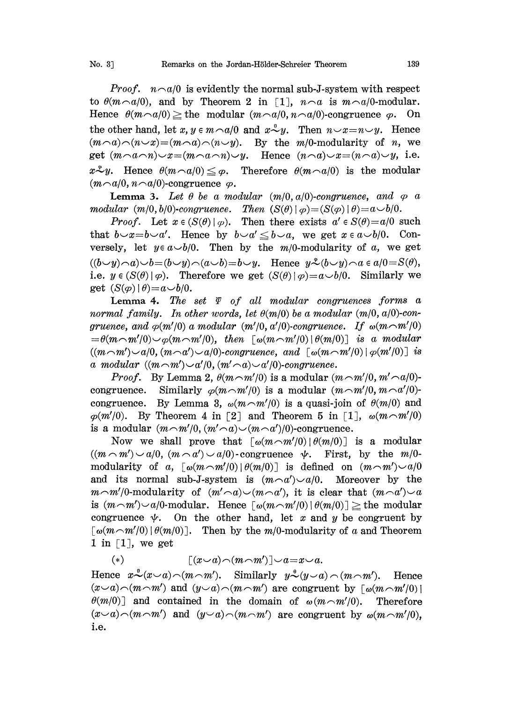*Proof.*  $n \sim a/0$  is evidently the normal sub-J-system with respect to  $\theta(m \cap a/0)$ , and by Theorem 2 in [1],  $n \cap a$  is  $m \cap a/0$ -modular. Hence  $\theta(m \cap a/0) \geq$  the modular  $(m \cap a/0, n \cap a/0)$ -congruence  $\varphi$ . On the other hand, let  $x, y \in m \cap a/0$  and  $x \stackrel{\circ}{\sim} y$ . Then  $n \sim x = n \sim y$ . Hence  $(m \cap a) \cap (n \cup x) = (m \cap a) \cap (n \cup y)$ . By the m/0-modularity of n, we get  $(m \neg a \neg n) \neg x = (m \neg a \neg n) \neg y$ . Hence  $(n \neg a) \neg x = (n \neg a) \neg y$ , i.e.  $x \mathcal{L} y$ . Hence  $\theta(m \cap a/0) \leq \varphi$ . Therefore  $\theta(m \cap a/0)$  is the modular  $(m \neg a/0, n \neg a/0)$ -congruence  $\varphi$ .

**Lemma 3.** Let  $\theta$  be a modular  $(m/0, a/0)$ -congruence, and  $\varphi$  a modular  $(m/0, b/0)$ -congruence. Then  $(S(\theta) \mid \varphi) = (S(\varphi) \mid \theta) = a \vee b/0$ .

*Proof.* Let  $x \in (S(\theta)|\varphi)$ . Then there exists  $a' \in S(\theta) = a/0$  such that  $b\rightarrow x=b\rightarrow a'$ . Hence by  $b\rightarrow a' \leq b\rightarrow a$ , we get  $x \in a\rightarrow b/0$ . Conversely, let  $y \in a \cup b/0$ . Then by the m/0-modularity of a, we get  $((b\smile y)\!\sim\!a)\smile b\!\!=\!(b\smile y)\!\sim\!(a\smile b)\!=\!b\smile y$ . Hence  $y\mathscr{L}(b\smile y)\!\sim\!a\!\in\!a/0\!=\!S(\theta)$ , i.e.  $y \in (S(\theta) | \varphi)$ . Therefore we get  $(S(\theta) | \varphi) = a \cup b/0$ . Similarly we get  $(S(\varphi) | \theta) = a \smile b/0$ .

Lemma 4. The set  $\varPsi$  of all modular congruences forms a normal family. In other words, let  $\theta(m/0)$  be a modular  $(m/0, a/0)$ -congruence, and  $\varphi(m'|0)$  a modular  $(m'|0, a'|0)$ -congruence. If  $\omega(m\cap m'|0)$  $=\theta(m\cap m'/0)\smile_{\varphi}(m\cap m'/0)$ , then  $\lceil \omega(m\cap m'/0) \rceil \theta(m/0)$  is a modular  $((m\cap m')\cup a/0, (m\cap a')\cup a/0)$ -congruence, and  $\lceil \omega(m\cap m'/0) \rceil \varphi(m'/0)$  is a modular  $((m\cap m')\backsim a'/0, (m'\cap a)\backsim a'/0)$ -congruence.

*Proof.* By Lemma 2,  $\theta(m\sim m'/0)$  is a modular  $(m\sim m'/0, m'\sim a/0)$ congruence. Similarly  $\varphi(m\cap m'|0)$  is a modular  $(m\cap m'|0, m\cap a'|0)$ congruence. By Lemma 3,  $\omega(m\sim m'/0)$  is a quasi-join of  $\theta(m/0)$  and  $\varphi(m'|0)$ . By Theorem 4 in [2] and Theorem 5 in [1],  $\omega(m\sim m'|0)$ is a modular  $(m \neg m' / 0, (m' \neg a) \vee (m \neg a') / 0$ -congruence.

Now we shall prove that  $\lceil \omega(m\eta/m/0) \rceil \theta(m/0)$  is a modular  $((m \n< m') \n< a/0, (m \n< a') \n< a/0$ -congruence  $\psi$ . First, by the  $m/0$ modularity of a,  $\lceil \omega(m\sim m'/0) | \theta(m/0) \rceil$  is defined on  $(m\sim m') \sim a/0$ and its normal sub-J-system is  $(m \neg a') \neg a/0$ . Moreover by the  $m\sim m'/0$ -modularity of  $(m'\sim a)\smile(m\sim a')$ , it is clear that  $(m\sim a')\smile a$ is  $(m \cap m') \sim a/0$ -modular. Hence  $\lceil \omega(m \cap m'/0) \rceil \theta(m/0) \rceil \geq b$  the modular congruence  $\psi$ . On the other hand, let x and y be congruent by  $\lceil \omega(m\cap m^{\prime}/0) \rceil$  (*m*/0). Then by the *m*/0-modularity of a and Theorem 1 in  $\lceil 1 \rceil$ , we get

(\*) 
$$
[(x \smile a) \neg(m \neg m')] \smile a = x \smile a.
$$

Hence  $x^{\mathcal{S}}(x\smile a)\!\frown\!(m\!\frown\!m')$ . Similarly  $y^{\mathcal{S}}(y\smile a)\frown(m\!\frown\!m')$ . Hence  $(x\smile a)\smile(m\smile m')$  and  $(y\smile a)\smile(m\smile m')$  are congruent by  $\lceil \omega(m\smile m')\rceil$  $\theta(m/0)$  and contained in the domain of  $\omega(m\sim m'/0)$ . Therefore  $(x\smile a)\smile(m\smile m')$  and  $(y\smile a)\smile(m\smile m')$  are congruent by  $\omega(m\smile m'/0)$ , i.e.